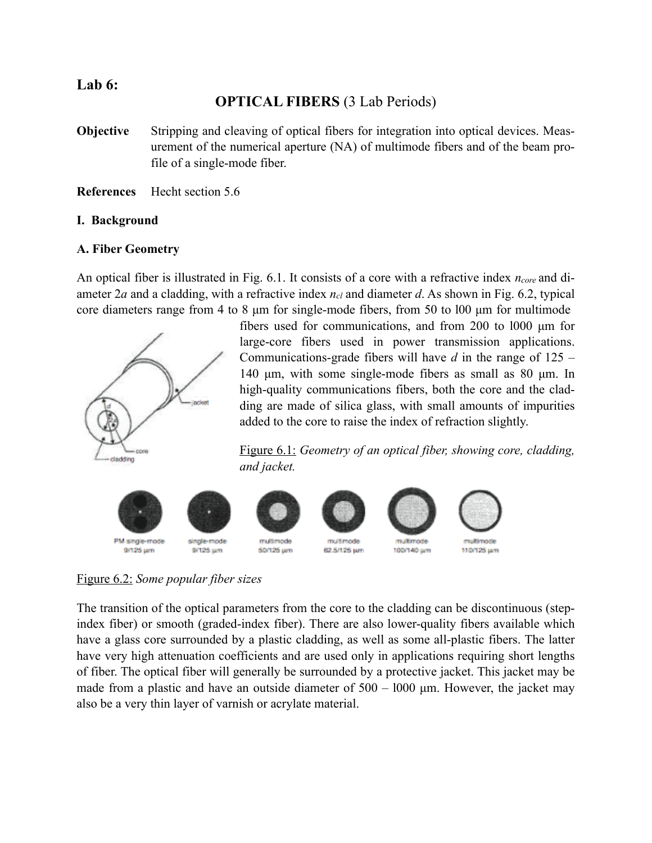## **Lab 6:**

# **OPTICAL FIBERS** (3 Lab Periods)

- **Objective** Stripping and cleaving of optical fibers for integration into optical devices. Measurement of the numerical aperture (NA) of multimode fibers and of the beam profile of a single-mode fiber.
- **References** Hecht section 5.6

### **I. Background**

### **A. Fiber Geometry**

An optical fiber is illustrated in Fig. 6.1. It consists of a core with a refractive index *ncore* and diameter 2*a* and a cladding, with a refractive index  $n_{cl}$  and diameter *d*. As shown in Fig. 6.2, typical core diameters range from 4 to 8  $\mu$ m for single-mode fibers, from 50 to 100  $\mu$ m for multimode





Figure 6.1: *Geometry of an optical fiber, showing core, cladding, and jacket.*

















9/125 um

single-mode 9/125 um

multimode 50/125 um

62.5/125 um 100/140 um

110/125 um



Figure 6.2: *Some popular fiber sizes*

The transition of the optical parameters from the core to the cladding can be discontinuous (stepindex fiber) or smooth (graded-index fiber). There are also lower-quality fibers available which have a glass core surrounded by a plastic cladding, as well as some all-plastic fibers. The latter have very high attenuation coefficients and are used only in applications requiring short lengths of fiber. The optical fiber will generally be surrounded by a protective jacket. This jacket may be made from a plastic and have an outside diameter of  $500 - 1000$   $\mu$ m. However, the jacket may also be a very thin layer of varnish or acrylate material.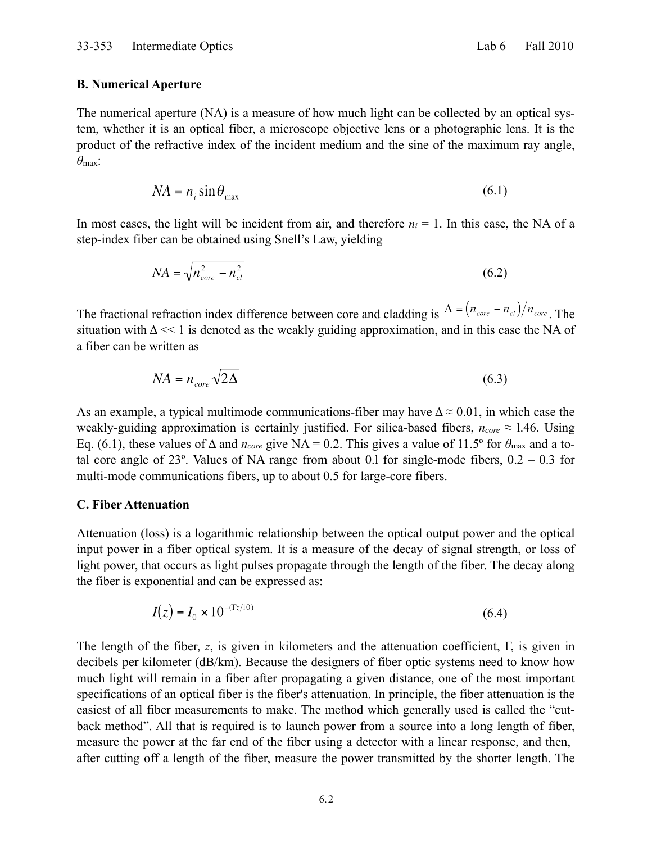### **B. Numerical Aperture**

The numerical aperture (NA) is a measure of how much light can be collected by an optical system, whether it is an optical fiber, a microscope objective lens or a photographic lens. It is the product of the refractive index of the incident medium and the sine of the maximum ray angle, *θ*max:

$$
NA = n_i \sin \theta_{\text{max}} \tag{6.1}
$$

In most cases, the light will be incident from air, and therefore  $n_i = 1$ . In this case, the NA of a step-index fiber can be obtained using Snell's Law, yielding

$$
NA = \sqrt{n_{core}^2 - n_{cl}^2} \tag{6.2}
$$

The fractional refraction index difference between core and cladding is  $\Delta = (n_{core} - n_{cl})/n_{core}$ . The situation with  $\Delta \ll 1$  is denoted as the weakly guiding approximation, and in this case the NA of a fiber can be written as

$$
NA = n_{core} \sqrt{2\Delta} \tag{6.3}
$$

As an example, a typical multimode communications-fiber may have  $\Delta \approx 0.01$ , in which case the weakly-guiding approximation is certainly justified. For silica-based fibers,  $n_{core} \approx 1.46$ . Using Eq. (6.1), these values of  $\Delta$  and *n<sub>core</sub>* give NA = 0.2. This gives a value of 11.5° for  $\theta_{\text{max}}$  and a total core angle of  $23^{\circ}$ . Values of NA range from about 0.1 for single-mode fibers,  $0.2 - 0.3$  for multi-mode communications fibers, up to about 0.5 for large-core fibers.

### **C. Fiber Attenuation**

Attenuation (loss) is a logarithmic relationship between the optical output power and the optical input power in a fiber optical system. It is a measure of the decay of signal strength, or loss of light power, that occurs as light pulses propagate through the length of the fiber. The decay along the fiber is exponential and can be expressed as:

$$
I(z) = I_0 \times 10^{-(\Gamma z/10)}
$$
\n(6.4)

The length of the fiber, *z*, is given in kilometers and the attenuation coefficient, Γ, is given in decibels per kilometer (dB/km). Because the designers of fiber optic systems need to know how much light will remain in a fiber after propagating a given distance, one of the most important specifications of an optical fiber is the fiber's attenuation. In principle, the fiber attenuation is the easiest of all fiber measurements to make. The method which generally used is called the "cutback method". All that is required is to launch power from a source into a long length of fiber, measure the power at the far end of the fiber using a detector with a linear response, and then, after cutting off a length of the fiber, measure the power transmitted by the shorter length. The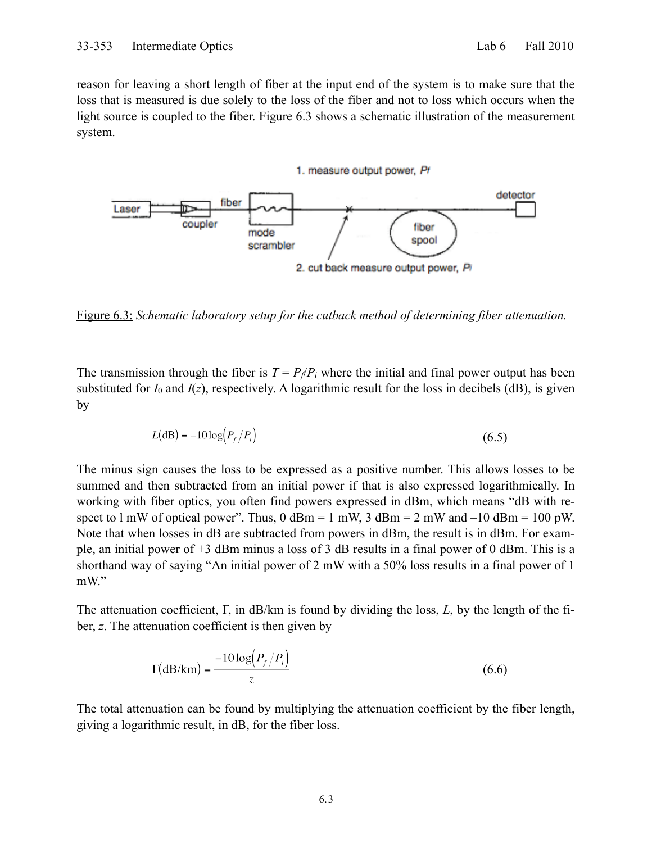reason for leaving a short length of fiber at the input end of the system is to make sure that the loss that is measured is due solely to the loss of the fiber and not to loss which occurs when the light source is coupled to the fiber. Figure 6.3 shows a schematic illustration of the measurement system.



Figure 6.3: *Schematic laboratory setup for the cutback method of determining fiber attenuation.*

The transmission through the fiber is  $T = P_f/P_i$  where the initial and final power output has been substituted for  $I_0$  and  $I(z)$ , respectively. A logarithmic result for the loss in decibels (dB), is given by

$$
L(\text{dB}) = -10\log\left(P_f/P_i\right) \tag{6.5}
$$

The minus sign causes the loss to be expressed as a positive number. This allows losses to be summed and then subtracted from an initial power if that is also expressed logarithmically. In working with fiber optics, you often find powers expressed in dBm, which means "dB with respect to  $1 \text{ mW}$  of optical power". Thus,  $0 \text{ dBm} = 1 \text{ mW}$ ,  $3 \text{ dBm} = 2 \text{ mW}$  and  $-10 \text{ dBm} = 100 \text{ pW}$ . Note that when losses in dB are subtracted from powers in dBm, the result is in dBm. For example, an initial power of +3 dBm minus a loss of 3 dB results in a final power of 0 dBm. This is a shorthand way of saying "An initial power of 2 mW with a 50% loss results in a final power of 1 mW."

The attenuation coefficient, Γ, in dB/km is found by dividing the loss, *L*, by the length of the fiber, *z*. The attenuation coefficient is then given by

$$
\Gamma(\text{dB/km}) = \frac{-10\log\left(P_f/P_i\right)}{z} \tag{6.6}
$$

The total attenuation can be found by multiplying the attenuation coefficient by the fiber length, giving a logarithmic result, in dB, for the fiber loss.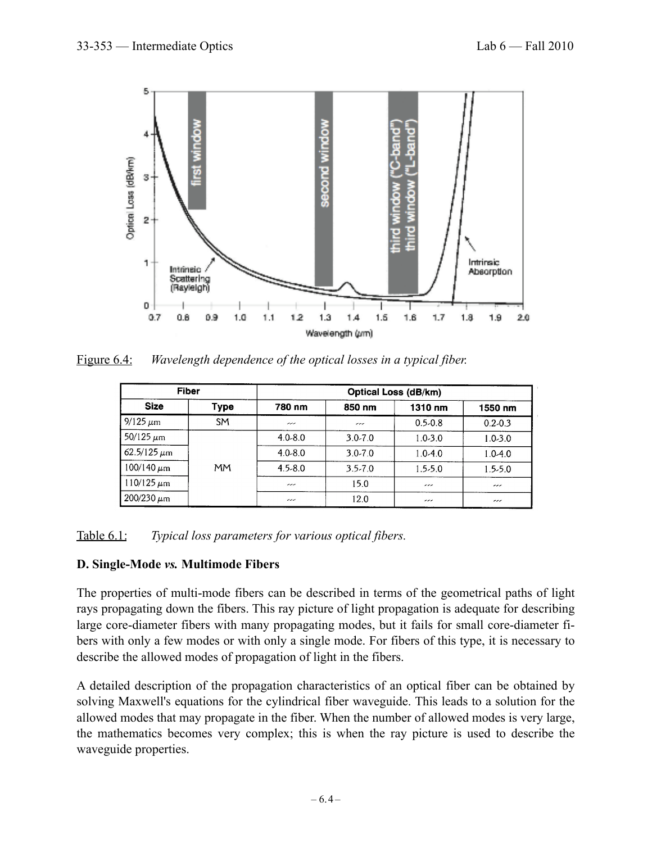

Figure 6.4: *Wavelength dependence of the optical losses in a typical fiber.*

| <b>Fiber</b>       |           | Optical Loss (dB/km)     |                          |                          |                          |
|--------------------|-----------|--------------------------|--------------------------|--------------------------|--------------------------|
| <b>Size</b>        | Type      | 780 nm                   | 850 nm                   | 1310 nm                  | 1550 nm                  |
| $9/125 \mu m$      | <b>SM</b> | ---                      | $\overline{\phantom{a}}$ | $0.5 - 0.8$              | $0.2 - 0.3$              |
| 50/125 $\mu$ m     |           | $4.0 - 8.0$              | $3.0 - 7.0$              | $1.0 - 3.0$              | $1.0 - 3.0$              |
| $62.5/125 \,\mu m$ |           | $4.0 - 8.0$              | $3.0 - 7.0$              | $1.0 - 4.0$              | $1.0 - 4.0$              |
| $100/140 \ \mu m$  | <b>MM</b> | $4.5 - 8.0$              | $3.5 - 7.0$              | $1.5 - 5.0$              | $1.5 - 5.0$              |
| $110/125 \,\mu m$  |           | $\overline{\phantom{a}}$ | 15.0                     | $\overline{\phantom{a}}$ | $\overline{\phantom{a}}$ |
| $200/230 \mu m$    |           | ---                      | 12.0                     | $\overline{\phantom{a}}$ | $\overline{\phantom{a}}$ |

Table 6.1: *Typical loss parameters for various optical fibers.*

## **D. Single-Mode** *vs.* **Multimode Fibers**

The properties of multi-mode fibers can be described in terms of the geometrical paths of light rays propagating down the fibers. This ray picture of light propagation is adequate for describing large core-diameter fibers with many propagating modes, but it fails for small core-diameter fibers with only a few modes or with only a single mode. For fibers of this type, it is necessary to describe the allowed modes of propagation of light in the fibers.

A detailed description of the propagation characteristics of an optical fiber can be obtained by solving Maxwell's equations for the cylindrical fiber waveguide. This leads to a solution for the allowed modes that may propagate in the fiber. When the number of allowed modes is very large, the mathematics becomes very complex; this is when the ray picture is used to describe the waveguide properties.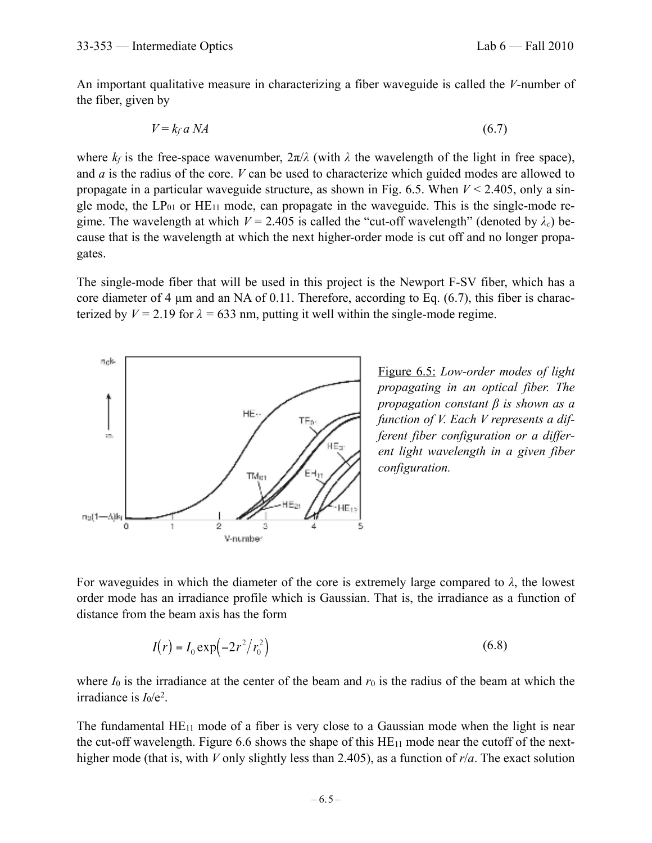An important qualitative measure in characterizing a fiber waveguide is called the *V*-number of the fiber, given by

$$
V = k_f a \, NA \tag{6.7}
$$

where  $k_f$  is the free-space wavenumber,  $2\pi/\lambda$  (with  $\lambda$  the wavelength of the light in free space), and *a* is the radius of the core. *V* can be used to characterize which guided modes are allowed to propagate in a particular waveguide structure, as shown in Fig. 6.5. When *V* < 2.405, only a single mode, the  $LP_{01}$  or  $HE_{11}$  mode, can propagate in the waveguide. This is the single-mode regime. The wavelength at which  $V = 2.405$  is called the "cut-off wavelength" (denoted by  $\lambda_c$ ) because that is the wavelength at which the next higher-order mode is cut off and no longer propagates.

The single-mode fiber that will be used in this project is the Newport F-SV fiber, which has a core diameter of 4 µm and an NA of 0.11. Therefore, according to Eq. (6.7), this fiber is characterized by  $V = 2.19$  for  $\lambda = 633$  nm, putting it well within the single-mode regime.



Figure 6.5: *Low-order modes of light propagating in an optical fiber. The propagation constant β is shown as a function of V. Each V represents a different fiber configuration or a different light wavelength in a given fiber configuration.*

For waveguides in which the diameter of the core is extremely large compared to  $\lambda$ , the lowest order mode has an irradiance profile which is Gaussian. That is, the irradiance as a function of distance from the beam axis has the form

$$
I(r) = I_0 \exp(-2r^2/r_0^2)
$$
 (6.8)

where  $I_0$  is the irradiance at the center of the beam and  $r_0$  is the radius of the beam at which the irradiance is  $I_0/e^2$ .

The fundamental  $HE_{11}$  mode of a fiber is very close to a Gaussian mode when the light is near the cut-off wavelength. Figure 6.6 shows the shape of this  $HE_{11}$  mode near the cutoff of the nexthigher mode (that is, with *V* only slightly less than 2.405), as a function of *r*/*a*. The exact solution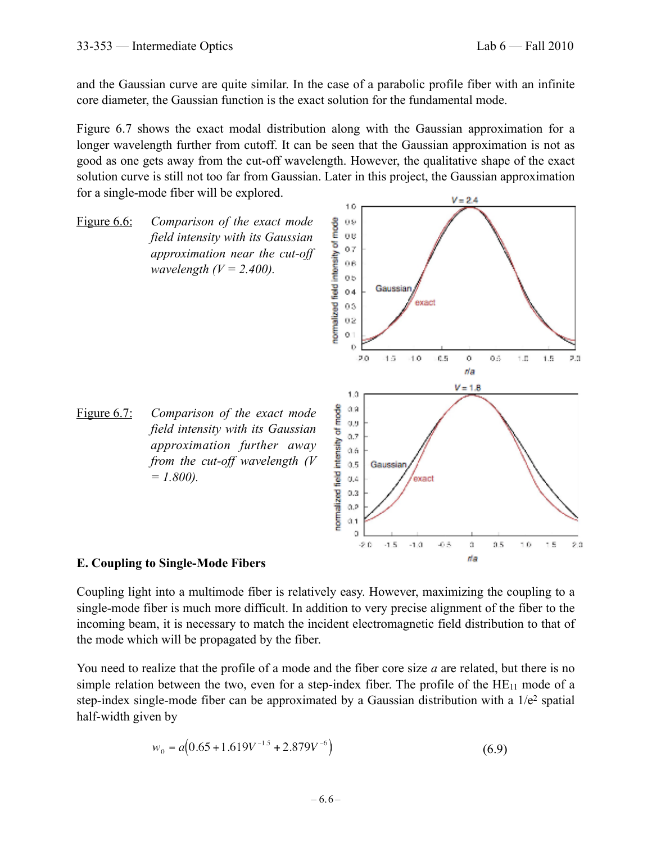da

and the Gaussian curve are quite similar. In the case of a parabolic profile fiber with an infinite core diameter, the Gaussian function is the exact solution for the fundamental mode.

Figure 6.7 shows the exact modal distribution along with the Gaussian approximation for a longer wavelength further from cutoff. It can be seen that the Gaussian approximation is not as good as one gets away from the cut-off wavelength. However, the qualitative shape of the exact solution curve is still not too far from Gaussian. Later in this project, the Gaussian approximation for a single-mode fiber will be explored.  $V = 2.4$ 



### **E. Coupling to Single-Mode Fibers**

Coupling light into a multimode fiber is relatively easy. However, maximizing the coupling to a single-mode fiber is much more difficult. In addition to very precise alignment of the fiber to the incoming beam, it is necessary to match the incident electromagnetic field distribution to that of the mode which will be propagated by the fiber.

You need to realize that the profile of a mode and the fiber core size *a* are related, but there is no simple relation between the two, even for a step-index fiber. The profile of the  $HE_{11}$  mode of a step-index single-mode fiber can be approximated by a Gaussian distribution with a 1/e<sup>2</sup> spatial half-width given by

$$
w_0 = a(0.65 + 1.619V^{-1.5} + 2.879V^{-6})
$$
\n(6.9)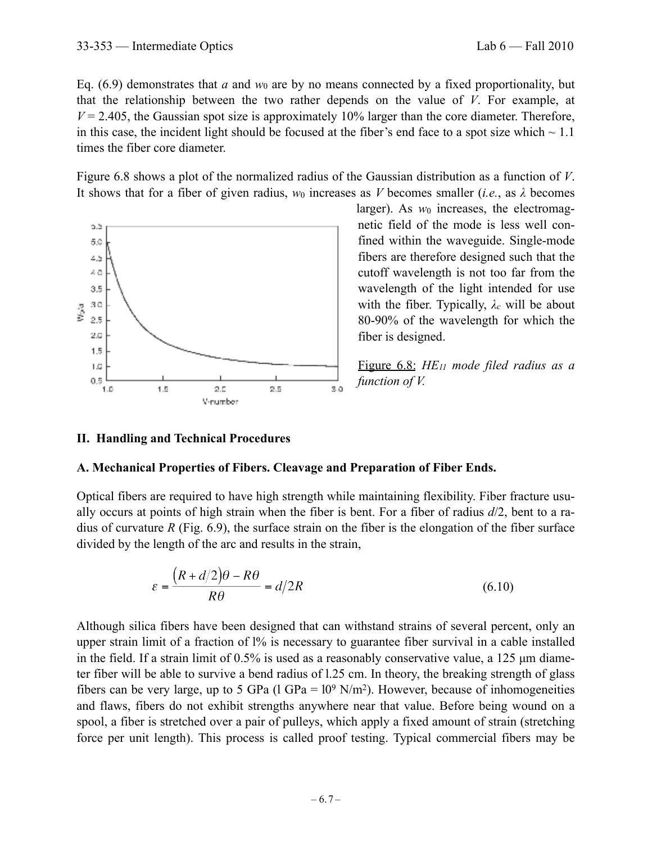that the relationship between the two rather depends on the value of *V*. For example, at  $V = 2.405$ , the Gaussian spot size is approximately 10% larger than the core diameter. Therefore, in this case, the incident light should be focused at the fiber's end face to a spot size which  $\sim 1.1$ times the fiber core diameter.

Figure 6.8 shows a plot of the normalized radius of the Gaussian distribution as a function of *V*. It shows that for a fiber of given radius,  $w_0$  increases as *V* becomes smaller (*i.e.*, as  $\lambda$  becomes



larger). As  $w_0$  increases, the electromagnetic field of the mode is less well confined within the waveguide. Single-mode fibers are therefore designed such that the cutoff wavelength is not too far from the wavelength of the light intended for use with the fiber. Typically, *λc* will be about 80-90% of the wavelength for which the fiber is designed.

Figure 6.8: *HE11 mode filed radius as a function of V.*

## **II. Handling and Technical Procedures**

## **A. Mechanical Properties of Fibers. Cleavage and Preparation of Fiber Ends.**

Optical fibers are required to have high strength while maintaining flexibility. Fiber fracture usually occurs at points of high strain when the fiber is bent. For a fiber of radius *d*/2, bent to a radius of curvature *R* (Fig. 6.9), the surface strain on the fiber is the elongation of the fiber surface divided by the length of the arc and results in the strain,

$$
\varepsilon = \frac{\left(R + d/2\right)\theta - R\theta}{R\theta} = d/2R\tag{6.10}
$$

Although silica fibers have been designed that can withstand strains of several percent, only an upper strain limit of a fraction of l% is necessary to guarantee fiber survival in a cable installed in the field. If a strain limit of  $0.5\%$  is used as a reasonably conservative value, a 125  $\mu$ m diameter fiber will be able to survive a bend radius of l.25 cm. In theory, the breaking strength of glass fibers can be very large, up to 5 GPa (l GPa =  $10^9$  N/m<sup>2</sup>). However, because of inhomogeneities and flaws, fibers do not exhibit strengths anywhere near that value. Before being wound on a spool, a fiber is stretched over a pair of pulleys, which apply a fixed amount of strain (stretching force per unit length). This process is called proof testing. Typical commercial fibers may be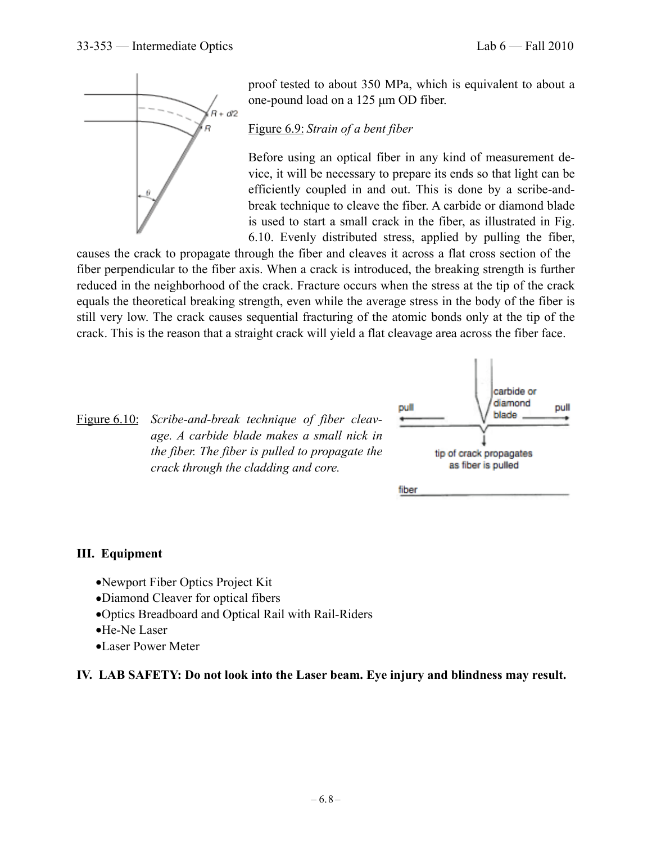

proof tested to about 350 MPa, which is equivalent to about a one-pound load on a 125 µm OD fiber.

## Figure 6.9: *Strain of a bent fiber*

Before using an optical fiber in any kind of measurement device, it will be necessary to prepare its ends so that light can be efficiently coupled in and out. This is done by a scribe-andbreak technique to cleave the fiber. A carbide or diamond blade is used to start a small crack in the fiber, as illustrated in Fig. 6.10. Evenly distributed stress, applied by pulling the fiber,

causes the crack to propagate through the fiber and cleaves it across a flat cross section of the fiber perpendicular to the fiber axis. When a crack is introduced, the breaking strength is further reduced in the neighborhood of the crack. Fracture occurs when the stress at the tip of the crack equals the theoretical breaking strength, even while the average stress in the body of the fiber is still very low. The crack causes sequential fracturing of the atomic bonds only at the tip of the crack. This is the reason that a straight crack will yield a flat cleavage area across the fiber face.

Figure 6.10: *Scribe-and-break technique of fiber cleavage. A carbide blade makes a small nick in the fiber. The fiber is pulled to propagate the crack through the cladding and core.*



## **III. Equipment**

- •Newport Fiber Optics Project Kit
- •Diamond Cleaver for optical fibers
- •Optics Breadboard and Optical Rail with Rail-Riders
- •He-Ne Laser
- •Laser Power Meter

### **IV. LAB SAFETY: Do not look into the Laser beam. Eye injury and blindness may result.**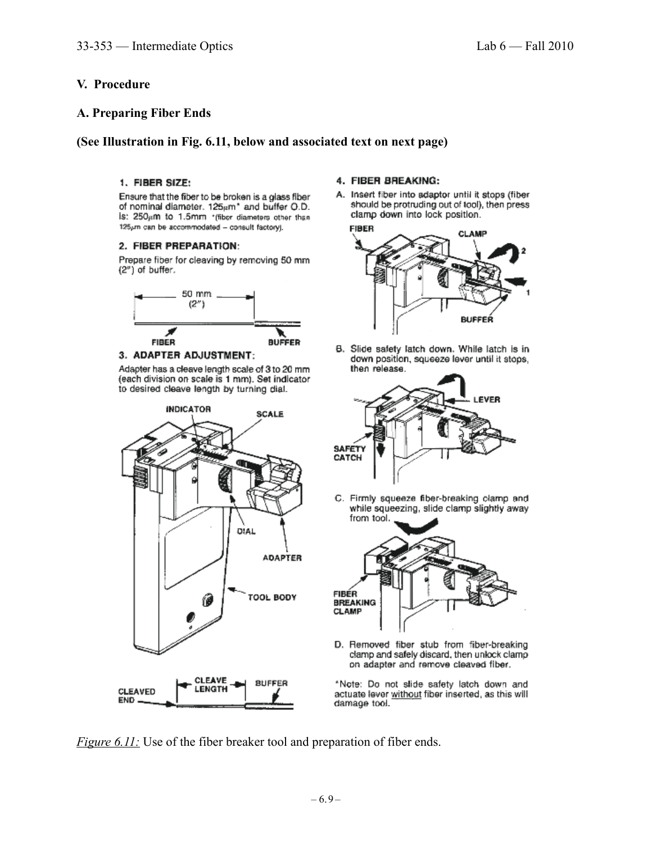### **V. Procedure**

#### **A. Preparing Fiber Ends**

#### **(See Illustration in Fig. 6.11, below and associated text on next page)**

#### 1. FIBER SIZE:

Ensure that the fiber to be broken is a glass fiber of nominal diameter. 125pm<sup>\*</sup> and buffer Q.D. is: 250pm to 1.5mm \*(fiber diameters other than 125pm can be accommodated - consult factory).

#### 2. FIBER PREPARATION:

Prepare fiber for cleaving by removing 50 mm  $(2<sup>n</sup>)$  of buffer.



#### 3. ADAPTER ADJUSTMENT:

Adapter has a cleave length scale of 3 to 20 mm (each division on scale is 1 mm). Set indicator to desired cleave length by turning dial.



#### 4. FIBER BREAKING:

A. Insert fiber into adaptor until it stops (fiber should be protruding out of tool), then press clamp down into lock position.



B. Slide safety latch down. While latch is in down position, squeeze lever until it stops, then release.



C. Firmly squeeze fiber-breaking clamp and while squeezing, slide clamp slightly away from tool.



D. Removed fiber stub from fiber-breaking clamp and safely discard, then unlock clamp on adapter and remove cleaved fiber.

\*Note: Do not slide safety latch down and actuate lever without fiber inserted, as this will damage tool.

*Figure 6.11:* Use of the fiber breaker tool and preparation of fiber ends.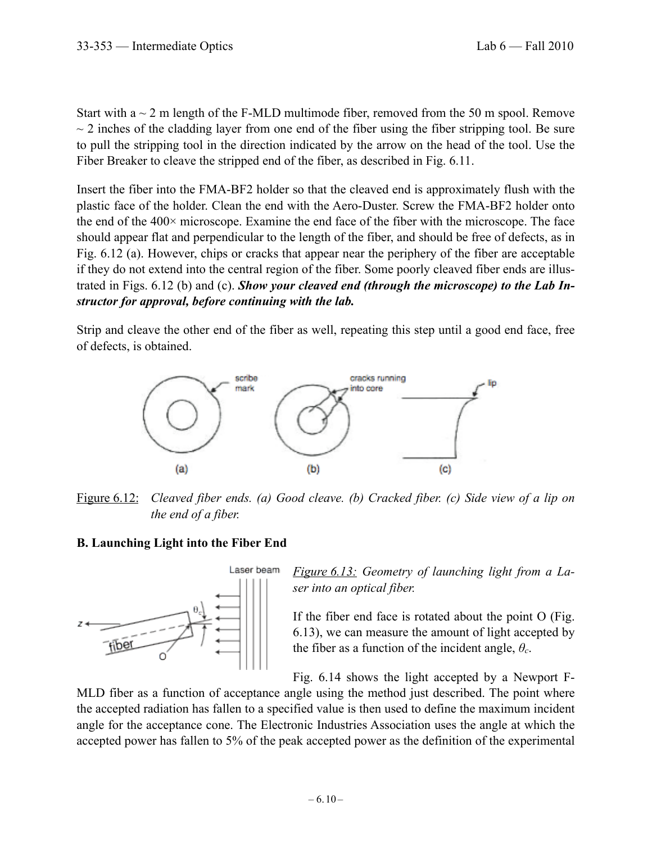Start with  $a \sim 2$  m length of the F-MLD multimode fiber, removed from the 50 m spool. Remove  $\sim$  2 inches of the cladding layer from one end of the fiber using the fiber stripping tool. Be sure to pull the stripping tool in the direction indicated by the arrow on the head of the tool. Use the Fiber Breaker to cleave the stripped end of the fiber, as described in Fig. 6.11.

Insert the fiber into the FMA-BF2 holder so that the cleaved end is approximately flush with the plastic face of the holder. Clean the end with the Aero-Duster. Screw the FMA-BF2 holder onto the end of the 400× microscope. Examine the end face of the fiber with the microscope. The face should appear flat and perpendicular to the length of the fiber, and should be free of defects, as in Fig. 6.12 (a). However, chips or cracks that appear near the periphery of the fiber are acceptable if they do not extend into the central region of the fiber. Some poorly cleaved fiber ends are illustrated in Figs. 6.12 (b) and (c). *Show your cleaved end (through the microscope) to the Lab Instructor for approval, before continuing with the lab.*

Strip and cleave the other end of the fiber as well, repeating this step until a good end face, free of defects, is obtained.



Figure 6.12: *Cleaved fiber ends. (a) Good cleave. (b) Cracked fiber. (c) Side view of a lip on the end of a fiber.*

## **B. Launching Light into the Fiber End**



*Figure 6.13: Geometry of launching light from a Laser into an optical fiber.*

If the fiber end face is rotated about the point O (Fig. 6.13), we can measure the amount of light accepted by the fiber as a function of the incident angle, *θc*.

Fig. 6.14 shows the light accepted by a Newport F-

MLD fiber as a function of acceptance angle using the method just described. The point where the accepted radiation has fallen to a specified value is then used to define the maximum incident angle for the acceptance cone. The Electronic Industries Association uses the angle at which the accepted power has fallen to 5% of the peak accepted power as the definition of the experimental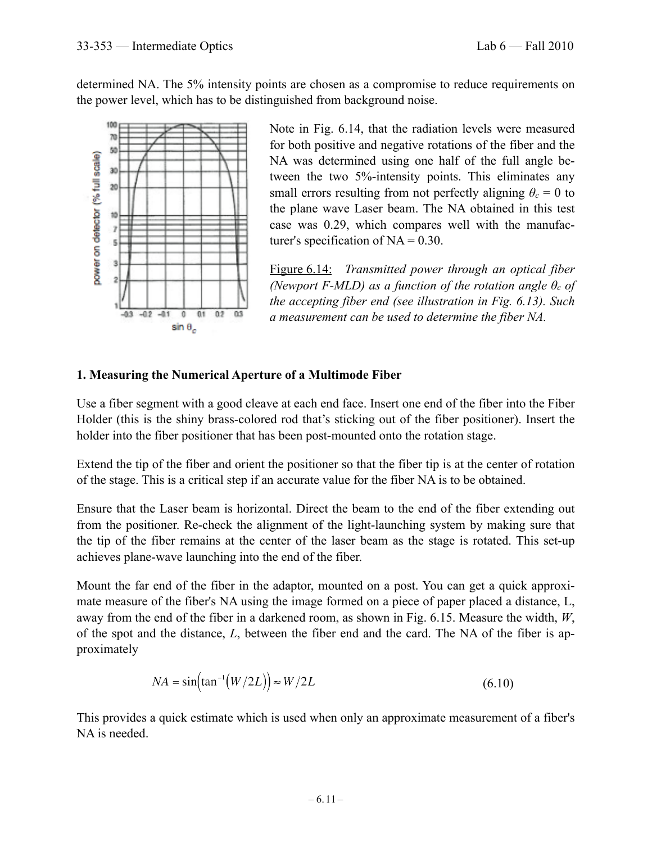determined NA. The 5% intensity points are chosen as a compromise to reduce requirements on the power level, which has to be distinguished from background noise.



Note in Fig. 6.14, that the radiation levels were measured for both positive and negative rotations of the fiber and the NA was determined using one half of the full angle between the two 5%-intensity points. This eliminates any small errors resulting from not perfectly aligning  $\theta_c = 0$  to the plane wave Laser beam. The NA obtained in this test case was 0.29, which compares well with the manufacturer's specification of  $NA = 0.30$ .

Figure 6.14: *Transmitted power through an optical fiber (Newport F-MLD) as a function of the rotation angle*  $\theta_c$  *of the accepting fiber end (see illustration in Fig. 6.13). Such a measurement can be used to determine the fiber NA.* 

## **1. Measuring the Numerical Aperture of a Multimode Fiber**

Use a fiber segment with a good cleave at each end face. Insert one end of the fiber into the Fiber Holder (this is the shiny brass-colored rod that's sticking out of the fiber positioner). Insert the holder into the fiber positioner that has been post-mounted onto the rotation stage.

Extend the tip of the fiber and orient the positioner so that the fiber tip is at the center of rotation of the stage. This is a critical step if an accurate value for the fiber NA is to be obtained.

Ensure that the Laser beam is horizontal. Direct the beam to the end of the fiber extending out from the positioner. Re-check the alignment of the light-launching system by making sure that the tip of the fiber remains at the center of the laser beam as the stage is rotated. This set-up achieves plane-wave launching into the end of the fiber.

Mount the far end of the fiber in the adaptor, mounted on a post. You can get a quick approximate measure of the fiber's NA using the image formed on a piece of paper placed a distance, L, away from the end of the fiber in a darkened room, as shown in Fig. 6.15. Measure the width, *W*, of the spot and the distance, *L*, between the fiber end and the card. The NA of the fiber is approximately

$$
NA = \sin(\tan^{-1}(W/2L)) \approx W/2L \tag{6.10}
$$

This provides a quick estimate which is used when only an approximate measurement of a fiber's NA is needed.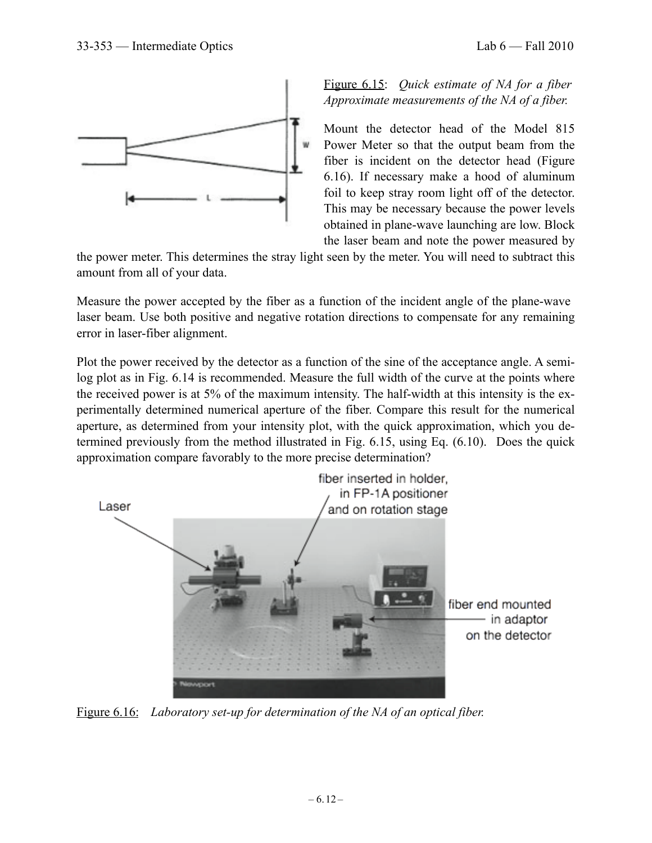



Figure 6.15: *Quick estimate of NA for a fiber Approximate measurements of the NA of a fiber.*

Mount the detector head of the Model 815 Power Meter so that the output beam from the fiber is incident on the detector head (Figure 6.16). If necessary make a hood of aluminum foil to keep stray room light off of the detector. This may be necessary because the power levels obtained in plane-wave launching are low. Block the laser beam and note the power measured by

the power meter. This determines the stray light seen by the meter. You will need to subtract this amount from all of your data.

Measure the power accepted by the fiber as a function of the incident angle of the plane-wave laser beam. Use both positive and negative rotation directions to compensate for any remaining error in laser-fiber alignment.

Plot the power received by the detector as a function of the sine of the acceptance angle. A semilog plot as in Fig. 6.14 is recommended. Measure the full width of the curve at the points where the received power is at 5% of the maximum intensity. The half-width at this intensity is the experimentally determined numerical aperture of the fiber. Compare this result for the numerical aperture, as determined from your intensity plot, with the quick approximation, which you determined previously from the method illustrated in Fig. 6.15, using Eq. (6.10). Does the quick approximation compare favorably to the more precise determination?



Figure 6.16: *Laboratory set-up for determination of the NA of an optical fiber.*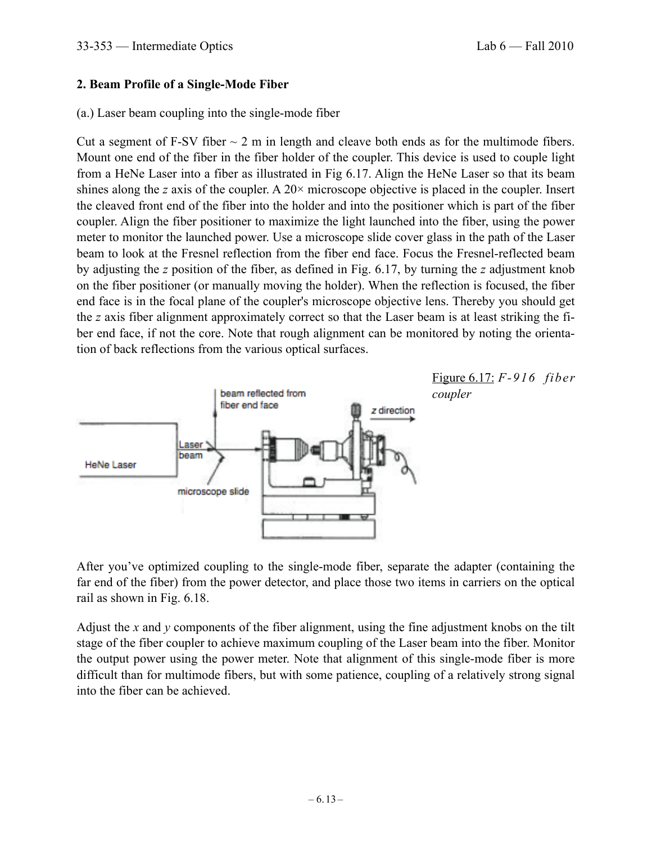### **2. Beam Profile of a Single-Mode Fiber**

### (a.) Laser beam coupling into the single-mode fiber

Cut a segment of F-SV fiber  $\sim$  2 m in length and cleave both ends as for the multimode fibers. Mount one end of the fiber in the fiber holder of the coupler. This device is used to couple light from a HeNe Laser into a fiber as illustrated in Fig 6.17. Align the HeNe Laser so that its beam shines along the *z* axis of the coupler. A 20× microscope objective is placed in the coupler. Insert the cleaved front end of the fiber into the holder and into the positioner which is part of the fiber coupler. Align the fiber positioner to maximize the light launched into the fiber, using the power meter to monitor the launched power. Use a microscope slide cover glass in the path of the Laser beam to look at the Fresnel reflection from the fiber end face. Focus the Fresnel-reflected beam by adjusting the *z* position of the fiber, as defined in Fig. 6.17, by turning the *z* adjustment knob on the fiber positioner (or manually moving the holder). When the reflection is focused, the fiber end face is in the focal plane of the coupler's microscope objective lens. Thereby you should get the *z* axis fiber alignment approximately correct so that the Laser beam is at least striking the fiber end face, if not the core. Note that rough alignment can be monitored by noting the orientation of back reflections from the various optical surfaces.



After you've optimized coupling to the single-mode fiber, separate the adapter (containing the far end of the fiber) from the power detector, and place those two items in carriers on the optical rail as shown in Fig. 6.18.

Adjust the *x* and *y* components of the fiber alignment, using the fine adjustment knobs on the tilt stage of the fiber coupler to achieve maximum coupling of the Laser beam into the fiber. Monitor the output power using the power meter. Note that alignment of this single-mode fiber is more difficult than for multimode fibers, but with some patience, coupling of a relatively strong signal into the fiber can be achieved.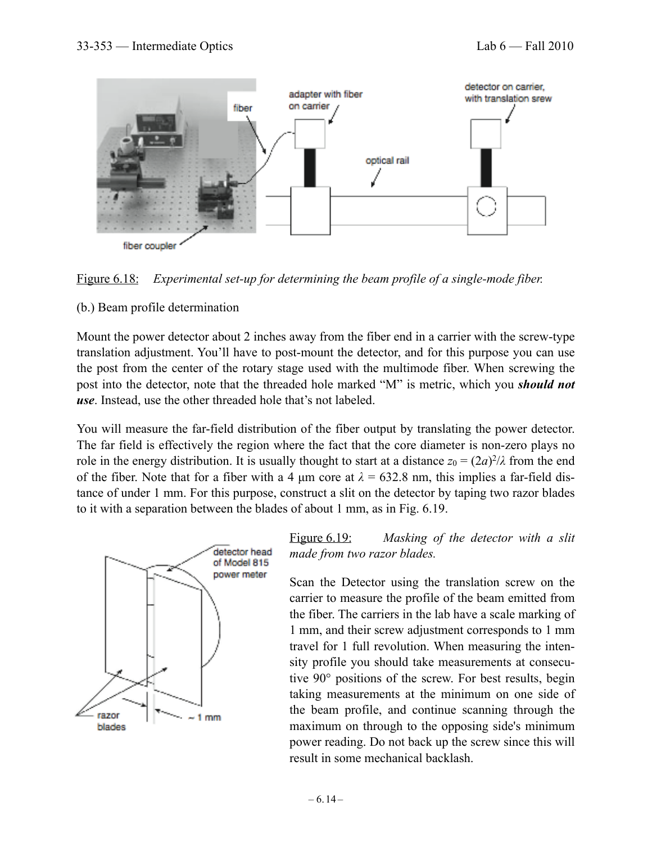



### (b.) Beam profile determination

Mount the power detector about 2 inches away from the fiber end in a carrier with the screw-type translation adjustment. You'll have to post-mount the detector, and for this purpose you can use the post from the center of the rotary stage used with the multimode fiber. When screwing the post into the detector, note that the threaded hole marked "M" is metric, which you *should not use*. Instead, use the other threaded hole that's not labeled.

You will measure the far-field distribution of the fiber output by translating the power detector. The far field is effectively the region where the fact that the core diameter is non-zero plays no role in the energy distribution. It is usually thought to start at a distance  $z_0 = (2a)^2/\lambda$  from the end of the fiber. Note that for a fiber with a 4  $\mu$ m core at  $\lambda$  = 632.8 nm, this implies a far-field distance of under 1 mm. For this purpose, construct a slit on the detector by taping two razor blades to it with a separation between the blades of about 1 mm, as in Fig. 6.19.



Figure 6.19: *Masking of the detector with a slit made from two razor blades.*

Scan the Detector using the translation screw on the carrier to measure the profile of the beam emitted from the fiber. The carriers in the lab have a scale marking of 1 mm, and their screw adjustment corresponds to 1 mm travel for 1 full revolution. When measuring the intensity profile you should take measurements at consecutive 90° positions of the screw. For best results, begin taking measurements at the minimum on one side of the beam profile, and continue scanning through the maximum on through to the opposing side's minimum power reading. Do not back up the screw since this will result in some mechanical backlash.